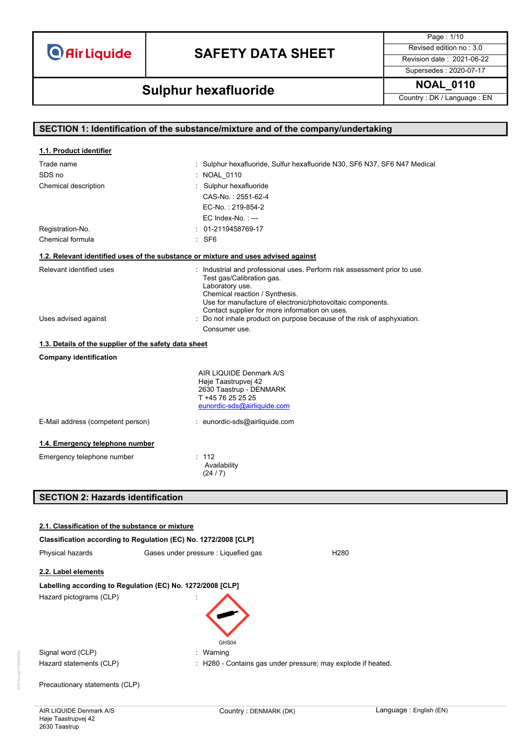**O** Air Liquide

# **SAFETY DATA SHEET** Revised edition no : 3.0

Page : 1/10 Supersedes : 2020-07-17

**NOAL\_0110 Sulphur hexafluoride**

Country : DK / Language : EN

| SECTION 1: Identification of the substance/mixture and of the company/undertaking |                                                                                                                                                                                                                           |  |
|-----------------------------------------------------------------------------------|---------------------------------------------------------------------------------------------------------------------------------------------------------------------------------------------------------------------------|--|
|                                                                                   |                                                                                                                                                                                                                           |  |
| 1.1. Product identifier                                                           |                                                                                                                                                                                                                           |  |
| Trade name                                                                        | : Sulphur hexafluoride, Sulfur hexafluoride N30, SF6 N37, SF6 N47 Medical                                                                                                                                                 |  |
| SDS no                                                                            | : NOAL 0110                                                                                                                                                                                                               |  |
| Chemical description                                                              | : Sulphur hexafluoride                                                                                                                                                                                                    |  |
|                                                                                   | CAS-No.: 2551-62-4                                                                                                                                                                                                        |  |
|                                                                                   | EC-No.: 219-854-2                                                                                                                                                                                                         |  |
|                                                                                   | $EC$ Index-No.: $---$                                                                                                                                                                                                     |  |
| Registration-No.                                                                  | $: 01-2119458769-17$                                                                                                                                                                                                      |  |
| Chemical formula                                                                  | : SF6                                                                                                                                                                                                                     |  |
|                                                                                   | 1.2. Relevant identified uses of the substance or mixture and uses advised against                                                                                                                                        |  |
| Relevant identified uses                                                          | : Industrial and professional uses. Perform risk assessment prior to use.<br>Test gas/Calibration gas.<br>Laboratory use.<br>Chemical reaction / Synthesis.<br>Use for manufacture of electronic/photovoltaic components. |  |
|                                                                                   | Contact supplier for more information on uses.                                                                                                                                                                            |  |
| Uses advised against                                                              | : Do not inhale product on purpose because of the risk of asphyxiation.                                                                                                                                                   |  |
|                                                                                   | Consumer use.                                                                                                                                                                                                             |  |
| 1.3. Details of the supplier of the safety data sheet                             |                                                                                                                                                                                                                           |  |
| <b>Company identification</b>                                                     |                                                                                                                                                                                                                           |  |
|                                                                                   | AIR LIQUIDE Denmark A/S<br>Høje Taastrupvej 42<br>2630 Taastrup - DENMARK<br>T +45 76 25 25 25<br>eunordic-sds@airliquide.com                                                                                             |  |
| E-Mail address (competent person)                                                 | : eunordic-sds@airliquide.com                                                                                                                                                                                             |  |
| 1.4. Emergency telephone number                                                   |                                                                                                                                                                                                                           |  |
| Emergency telephone number                                                        | : 112                                                                                                                                                                                                                     |  |
|                                                                                   | Availability<br>(24/7)                                                                                                                                                                                                    |  |
| <b>SECTION 2: Hazards identification</b>                                          |                                                                                                                                                                                                                           |  |
|                                                                                   |                                                                                                                                                                                                                           |  |
| 2.1. Classification of the substance or mixture                                   |                                                                                                                                                                                                                           |  |
| Classification according to Regulation (EC) No. 1272/2008 [CLP]                   |                                                                                                                                                                                                                           |  |
| Physical hazards                                                                  | Gases under pressure : Liquefied gas<br>H <sub>280</sub>                                                                                                                                                                  |  |
|                                                                                   |                                                                                                                                                                                                                           |  |
| 2.2. Label elements                                                               |                                                                                                                                                                                                                           |  |
| Labelling according to Regulation (EC) No. 1272/2008 [CLP]                        |                                                                                                                                                                                                                           |  |
| Hazard pictograms (CLP)                                                           |                                                                                                                                                                                                                           |  |
|                                                                                   | GHS04                                                                                                                                                                                                                     |  |
| Signal word (CLP)                                                                 | : Warning                                                                                                                                                                                                                 |  |
| Hazard statements (CLP)                                                           | H280 - Contains gas under pressure; may explode if heated.                                                                                                                                                                |  |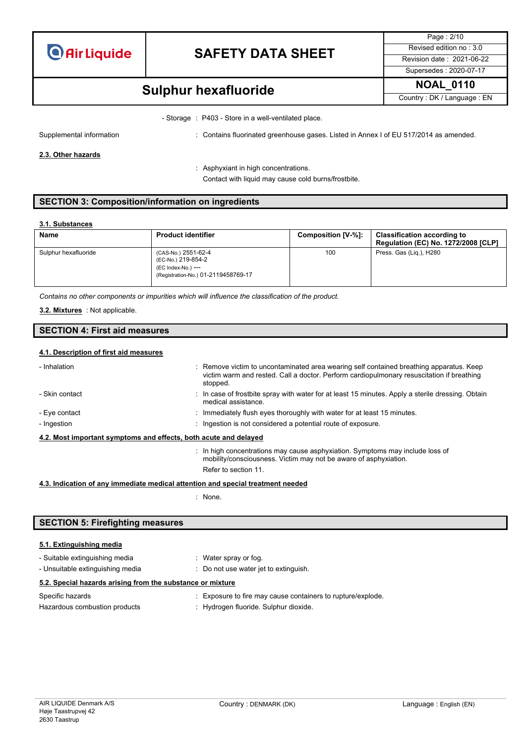

Page : 2/10 Supersedes : 2020-07-17

# **NOAL\_0110 Sulphur hexafluoride**

Country : DK / Language : EN

- Storage : P403 - Store in a well-ventilated place.

Supplemental information **interest and the Contains fluorinated greenhouse gases.** Listed in Annex I of EU 517/2014 as amended.

**2.3. Other hazards**

: Asphyxiant in high concentrations. Contact with liquid may cause cold burns/frostbite.

### **SECTION 3: Composition/information on ingredients**

#### **3.1. Substances**

| <b>Name</b>          | <b>Product identifier</b>                                                                              | Composition [V-%]: | <b>Classification according to</b><br><b>Regulation (EC) No. 1272/2008 [CLP]</b> |
|----------------------|--------------------------------------------------------------------------------------------------------|--------------------|----------------------------------------------------------------------------------|
| Sulphur hexafluoride | (CAS-No.) 2551-62-4<br>(EC-No.) 219-854-2<br>(EC Index-No.) ---<br>(Registration-No.) 01-2119458769-17 | 100                | Press. Gas (Lig.), H280                                                          |

*Contains no other components or impurities which will influence the classification of the product.*

: Not applicable. **3.2. Mixtures**

### **SECTION 4: First aid measures**

#### **4.1. Description of first aid measures**

| - Inhalation                                                     | : Remove victim to uncontaminated area wearing self contained breathing apparatus. Keep<br>victim warm and rested. Call a doctor. Perform cardiopulmonary resuscitation if breathing<br>stopped. |
|------------------------------------------------------------------|--------------------------------------------------------------------------------------------------------------------------------------------------------------------------------------------------|
| - Skin contact                                                   | : In case of frostbite spray with water for at least 15 minutes. Apply a sterile dressing. Obtain<br>medical assistance.                                                                         |
| - Eye contact                                                    | $\therefore$ Immediately flush eyes thoroughly with water for at least 15 minutes.                                                                                                               |
| - Ingestion                                                      | : Ingestion is not considered a potential route of exposure.                                                                                                                                     |
| 4.2. Most important symptoms and effects, both acute and delayed |                                                                                                                                                                                                  |
|                                                                  | $\therefore$ In high concentrations may cause asphyxiation. Symptoms may include loss of<br>mobility/consciousness. Victim may not be aware of asphyxiation.                                     |
|                                                                  | Refer to section 11.                                                                                                                                                                             |
|                                                                  |                                                                                                                                                                                                  |

**4.3. Indication of any immediate medical attention and special treatment needed**

: None.

### **SECTION 5: Firefighting measures**

### **5.1. Extinguishing media**

| - Suitable extinguishing media                             | : Water spray or fog.                                       |
|------------------------------------------------------------|-------------------------------------------------------------|
| - Unsuitable extinguishing media                           | Do not use water jet to extinguish.                         |
| 5.2. Special hazards arising from the substance or mixture |                                                             |
| Specific hazards                                           | : Exposure to fire may cause containers to rupture/explode. |
| Hazardous combustion products                              | : Hydrogen fluoride. Sulphur dioxide.                       |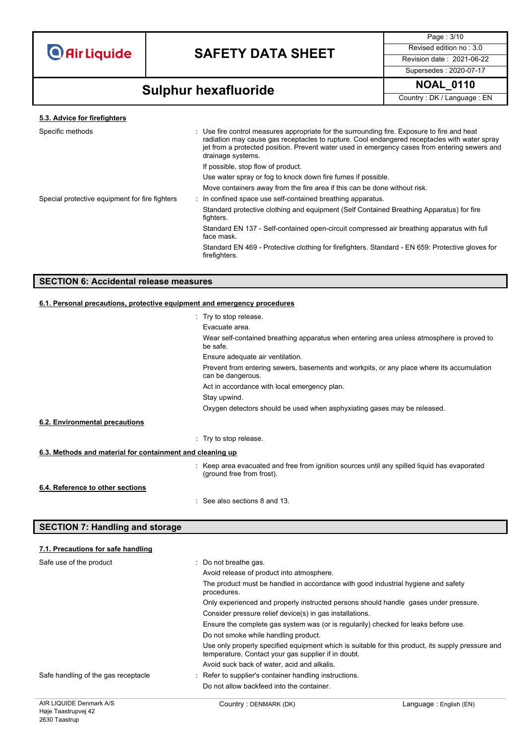

Page : 3/10 Supersedes : 2020-07-17

# **NOAL\_0110 Sulphur hexafluoride**

Country : DK / Language : EN

**5.3. Advice for firefighters**

| Specific methods                               | : Use fire control measures appropriate for the surrounding fire. Exposure to fire and heat<br>radiation may cause gas receptacles to rupture. Cool endangered receptacles with water spray<br>jet from a protected position. Prevent water used in emergency cases from entering sewers and<br>drainage systems. |
|------------------------------------------------|-------------------------------------------------------------------------------------------------------------------------------------------------------------------------------------------------------------------------------------------------------------------------------------------------------------------|
|                                                | If possible, stop flow of product.                                                                                                                                                                                                                                                                                |
|                                                | Use water spray or fog to knock down fire fumes if possible.                                                                                                                                                                                                                                                      |
|                                                | Move containers away from the fire area if this can be done without risk.                                                                                                                                                                                                                                         |
| Special protective equipment for fire fighters | : In confined space use self-contained breathing apparatus.                                                                                                                                                                                                                                                       |
|                                                | Standard protective clothing and equipment (Self Contained Breathing Apparatus) for fire<br>fighters.                                                                                                                                                                                                             |
|                                                | Standard EN 137 - Self-contained open-circuit compressed air breathing apparatus with full<br>face mask.                                                                                                                                                                                                          |
|                                                | Standard EN 469 - Protective clothing for firefighters. Standard - EN 659: Protective gloves for<br>firefighters.                                                                                                                                                                                                 |
|                                                |                                                                                                                                                                                                                                                                                                                   |

### **SECTION 6: Accidental release measures**

### **6.1. Personal precautions, protective equipment and emergency procedures**

|                                                           | : Try to stop release.                                                                                                    |  |
|-----------------------------------------------------------|---------------------------------------------------------------------------------------------------------------------------|--|
|                                                           | Evacuate area.                                                                                                            |  |
|                                                           | Wear self-contained breathing apparatus when entering area unless atmosphere is proved to<br>be safe.                     |  |
|                                                           | Ensure adequate air ventilation.                                                                                          |  |
|                                                           | Prevent from entering sewers, basements and workpits, or any place where its accumulation<br>can be dangerous.            |  |
|                                                           | Act in accordance with local emergency plan.                                                                              |  |
|                                                           | Stay upwind.                                                                                                              |  |
|                                                           | Oxygen detectors should be used when asphyxiating gases may be released.                                                  |  |
| 6.2. Environmental precautions                            |                                                                                                                           |  |
|                                                           | : Try to stop release.                                                                                                    |  |
| 6.3. Methods and material for containment and cleaning up |                                                                                                                           |  |
|                                                           | : Keep area evacuated and free from ignition sources until any spilled liquid has evaporated<br>(ground free from frost). |  |
| 6.4. Reference to other sections                          |                                                                                                                           |  |
|                                                           | $\therefore$ See also sections 8 and 13.                                                                                  |  |

### **SECTION 7: Handling and storage**

| 7.1. Precautions for safe handling  |                                                                                                                                                          |
|-------------------------------------|----------------------------------------------------------------------------------------------------------------------------------------------------------|
| Safe use of the product             | : Do not breathe gas.                                                                                                                                    |
|                                     | Avoid release of product into atmosphere.                                                                                                                |
|                                     | The product must be handled in accordance with good industrial hygiene and safety<br>procedures.                                                         |
|                                     | Only experienced and properly instructed persons should handle gases under pressure.                                                                     |
|                                     | Consider pressure relief device(s) in gas installations.                                                                                                 |
|                                     | Ensure the complete gas system was (or is regularily) checked for leaks before use.                                                                      |
|                                     | Do not smoke while handling product.                                                                                                                     |
|                                     | Use only properly specified equipment which is suitable for this product, its supply pressure and<br>temperature. Contact your gas supplier if in doubt. |
|                                     | Avoid suck back of water, acid and alkalis.                                                                                                              |
| Safe handling of the gas receptacle | : Refer to supplier's container handling instructions.                                                                                                   |
|                                     | Do not allow backfeed into the container.                                                                                                                |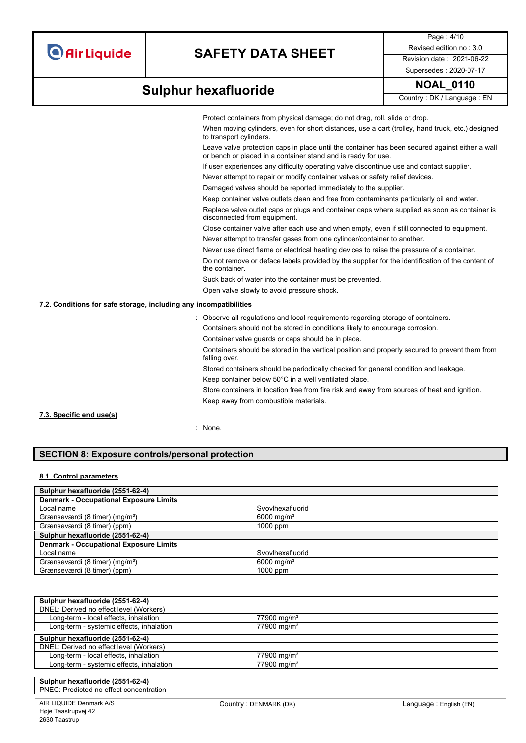Page : 4/10 Supersedes : 2020-07-17

## **NOAL\_0110 Sulphur hexafluoride**

Country : DK / Language : EN

Protect containers from physical damage; do not drag, roll, slide or drop.

When moving cylinders, even for short distances, use a cart (trolley, hand truck, etc.) designed to transport cylinders.

Leave valve protection caps in place until the container has been secured against either a wall or bench or placed in a container stand and is ready for use.

If user experiences any difficulty operating valve discontinue use and contact supplier.

Never attempt to repair or modify container valves or safety relief devices.

Damaged valves should be reported immediately to the supplier.

Keep container valve outlets clean and free from contaminants particularly oil and water.

Replace valve outlet caps or plugs and container caps where supplied as soon as container is disconnected from equipment.

Close container valve after each use and when empty, even if still connected to equipment. Never attempt to transfer gases from one cylinder/container to another.

Never use direct flame or electrical heating devices to raise the pressure of a container.

Do not remove or deface labels provided by the supplier for the identification of the content of the container.

Suck back of water into the container must be prevented.

Open valve slowly to avoid pressure shock.

### **7.2. Conditions for safe storage, including any incompatibilities**

- : Observe all regulations and local requirements regarding storage of containers.
- Containers should not be stored in conditions likely to encourage corrosion.

Container valve guards or caps should be in place.

Containers should be stored in the vertical position and properly secured to prevent them from falling over.

Stored containers should be periodically checked for general condition and leakage.

Keep container below 50°C in a well ventilated place.

Store containers in location free from fire risk and away from sources of heat and ignition. Keep away from combustible materials.

#### **7.3. Specific end use(s)**

: None.

### **SECTION 8: Exposure controls/personal protection**

#### **8.1. Control parameters**

| Sulphur hexafluoride (2551-62-4)              |                        |  |
|-----------------------------------------------|------------------------|--|
| <b>Denmark - Occupational Exposure Limits</b> |                        |  |
| Local name                                    | Svovlhexafluorid       |  |
| Grænseværdi (8 timer) (mg/m <sup>3</sup> )    | 6000 mg/m <sup>3</sup> |  |
| Grænseværdi (8 timer) (ppm)                   | $1000$ ppm             |  |
| Sulphur hexafluoride (2551-62-4)              |                        |  |
| <b>Denmark - Occupational Exposure Limits</b> |                        |  |
| Local name                                    | Svovlhexafluorid       |  |
| Grænseværdi (8 timer) (mg/m <sup>3</sup> )    | 6000 mg/m <sup>3</sup> |  |
| Grænseværdi (8 timer) (ppm)                   | $1000$ ppm             |  |

| Sulphur hexafluoride (2551-62-4)         |                           |  |
|------------------------------------------|---------------------------|--|
| DNEL: Derived no effect level (Workers)  |                           |  |
| Long-term - local effects, inhalation    | $77900 \,\mathrm{mq/m^3}$ |  |
| Long-term - systemic effects, inhalation | $77900 \,\mathrm{mg/m^3}$ |  |
| Sulphur hexafluoride (2551-62-4)         |                           |  |
|                                          |                           |  |
| DNEL: Derived no effect level (Workers)  |                           |  |
| Long-term - local effects, inhalation    | $77900 \,\mathrm{mq/m^3}$ |  |
|                                          |                           |  |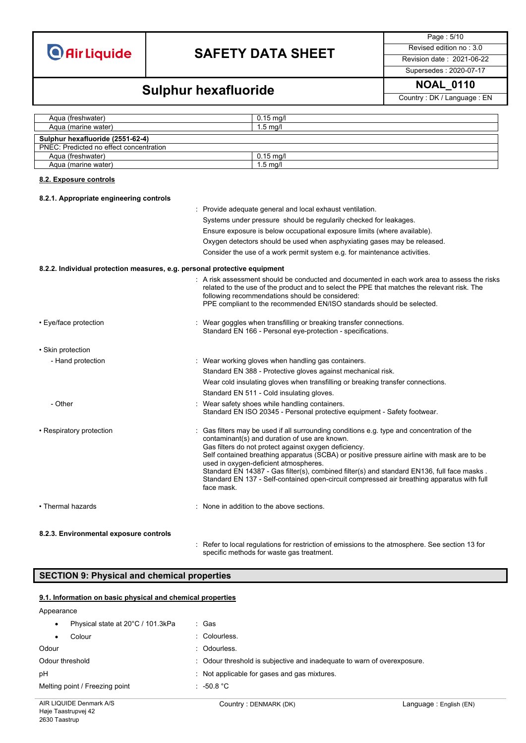**Air Liquide** 

# **SAFETY DATA SHEET** Revised edition no : 3.0

Page : 5/10

Supersedes : 2020-07-17

## **NOAL\_0110 Sulphur hexafluoride**

Country : DK / Language : EN

| Agua (freshwater)                       | $0.15$ mg/l |
|-----------------------------------------|-------------|
| Agua (marine water)                     | $1.5$ ma/l  |
| Sulphur hexafluoride (2551-62-4)        |             |
| PNEC: Predicted no effect concentration |             |
| Agua (freshwater)                       | $0.15$ ma/l |
| Aqua (marine water)                     | $1.5$ ma/l  |

#### **8.2. Exposure controls**

#### **8.2.1. Appropriate engineering controls**

|                                                                           | : Provide adequate general and local exhaust ventilation.<br>Systems under pressure should be regularily checked for leakages.<br>Ensure exposure is below occupational exposure limits (where available).<br>Oxygen detectors should be used when asphyxiating gases may be released.<br>Consider the use of a work permit system e.g. for maintenance activities.                                                                                                                                                                                 |
|---------------------------------------------------------------------------|-----------------------------------------------------------------------------------------------------------------------------------------------------------------------------------------------------------------------------------------------------------------------------------------------------------------------------------------------------------------------------------------------------------------------------------------------------------------------------------------------------------------------------------------------------|
| 8.2.2. Individual protection measures, e.g. personal protective equipment |                                                                                                                                                                                                                                                                                                                                                                                                                                                                                                                                                     |
|                                                                           | : A risk assessment should be conducted and documented in each work area to assess the risks<br>related to the use of the product and to select the PPE that matches the relevant risk. The<br>following recommendations should be considered:<br>PPE compliant to the recommended EN/ISO standards should be selected.                                                                                                                                                                                                                             |
| • Eye/face protection                                                     | : Wear goggles when transfilling or breaking transfer connections.<br>Standard EN 166 - Personal eye-protection - specifications.                                                                                                                                                                                                                                                                                                                                                                                                                   |
| • Skin protection                                                         |                                                                                                                                                                                                                                                                                                                                                                                                                                                                                                                                                     |
| - Hand protection                                                         | : Wear working gloves when handling gas containers.<br>Standard EN 388 - Protective gloves against mechanical risk.<br>Wear cold insulating gloves when transfilling or breaking transfer connections.<br>Standard EN 511 - Cold insulating gloves.                                                                                                                                                                                                                                                                                                 |
| - Other                                                                   | Wear safety shoes while handling containers.<br>Standard EN ISO 20345 - Personal protective equipment - Safety footwear.                                                                                                                                                                                                                                                                                                                                                                                                                            |
| • Respiratory protection                                                  | Gas filters may be used if all surrounding conditions e.g. type and concentration of the<br>contaminant(s) and duration of use are known.<br>Gas filters do not protect against oxygen deficiency.<br>Self contained breathing apparatus (SCBA) or positive pressure airline with mask are to be<br>used in oxygen-deficient atmospheres.<br>Standard EN 14387 - Gas filter(s), combined filter(s) and standard EN136, full face masks.<br>Standard EN 137 - Self-contained open-circuit compressed air breathing apparatus with full<br>face mask. |
| • Thermal hazards                                                         | : None in addition to the above sections.                                                                                                                                                                                                                                                                                                                                                                                                                                                                                                           |

#### **8.2.3. Environmental exposure controls**

: Refer to local regulations for restriction of emissions to the atmosphere. See section 13 for specific methods for waste gas treatment.

### **SECTION 9: Physical and chemical properties**

#### **9.1. Information on basic physical and chemical properties**

#### Appearance

| Physical state at 20°C / 101.3kPa | : Gas                                                                   |
|-----------------------------------|-------------------------------------------------------------------------|
| Colour                            | : Colourless.                                                           |
| Odour                             | : Odourless.                                                            |
| Odour threshold                   | : Odour threshold is subjective and inadequate to warn of overexposure. |
| рH                                | : Not applicable for gases and gas mixtures.                            |
| Melting point / Freezing point    | $: -50.8 °C$                                                            |
|                                   |                                                                         |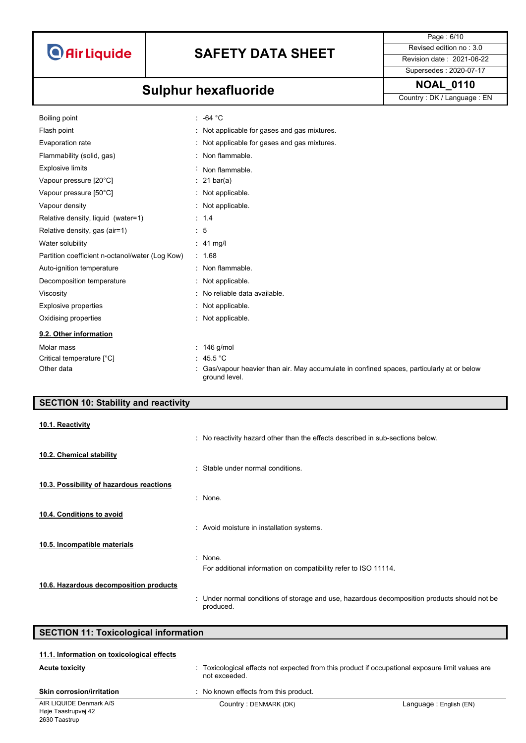

Page : 6/10 Supersedes : 2020-07-17

# **NOAL\_0110 Sulphur hexafluoride**

Country : DK / Language : EN

| Boiling point                                   | $: -64 °C$                                                                                                  |
|-------------------------------------------------|-------------------------------------------------------------------------------------------------------------|
| Flash point                                     | : Not applicable for gases and gas mixtures.                                                                |
| Evaporation rate                                | : Not applicable for gases and gas mixtures.                                                                |
| Flammability (solid, gas)                       | : Non flammable.                                                                                            |
| <b>Explosive limits</b>                         | Non flammable.                                                                                              |
| Vapour pressure [20°C]                          | $: 21 \text{ bar(a)}$                                                                                       |
| Vapour pressure [50°C]                          | : Not applicable.                                                                                           |
| Vapour density                                  | : Not applicable.                                                                                           |
| Relative density, liquid (water=1)              | : 1.4                                                                                                       |
| Relative density, gas (air=1)                   | $\therefore$ 5                                                                                              |
| Water solubility                                | $: 41$ mg/                                                                                                  |
| Partition coefficient n-octanol/water (Log Kow) | : 1.68                                                                                                      |
| Auto-ignition temperature                       | : Non flammable.                                                                                            |
| Decomposition temperature                       | : Not applicable.                                                                                           |
| Viscosity                                       | : No reliable data available.                                                                               |
| Explosive properties                            | : Not applicable.                                                                                           |
| Oxidising properties                            | : Not applicable.                                                                                           |
| 9.2. Other information                          |                                                                                                             |
| Molar mass                                      | $: 146$ g/mol                                                                                               |
| Critical temperature [°C]                       | : $45.5^{\circ}$ C                                                                                          |
| Other data                                      | : Gas/vapour heavier than air. May accumulate in confined spaces, particularly at or below<br>ground level. |

### **SECTION 10: Stability and reactivity**

#### **10.1. Reactivity**

|                                          | : No reactivity hazard other than the effects described in sub-sections below.                            |
|------------------------------------------|-----------------------------------------------------------------------------------------------------------|
| 10.2. Chemical stability                 |                                                                                                           |
|                                          | : Stable under normal conditions.                                                                         |
| 10.3. Possibility of hazardous reactions |                                                                                                           |
|                                          | : None.                                                                                                   |
| 10.4. Conditions to avoid                |                                                                                                           |
|                                          | : Avoid moisture in installation systems.                                                                 |
| 10.5. Incompatible materials             |                                                                                                           |
|                                          | : None.                                                                                                   |
|                                          | For additional information on compatibility refer to ISO 11114.                                           |
| 10.6. Hazardous decomposition products   |                                                                                                           |
|                                          | : Under normal conditions of storage and use, hazardous decomposition products should not be<br>produced. |

| <b>SECTION 11: Toxicological information</b>                   |                                                                                                                   |                        |
|----------------------------------------------------------------|-------------------------------------------------------------------------------------------------------------------|------------------------|
| 11.1. Information on toxicological effects                     |                                                                                                                   |                        |
| <b>Acute toxicity</b>                                          | : Toxicological effects not expected from this product if occupational exposure limit values are<br>not exceeded. |                        |
| <b>Skin corrosion/irritation</b>                               | No known effects from this product.                                                                               |                        |
| AIR LIQUIDE Denmark A/S<br>$\cdots$ $\cdots$ $\cdots$ $\cdots$ | Country: DENMARK (DK)                                                                                             | Language: English (EN) |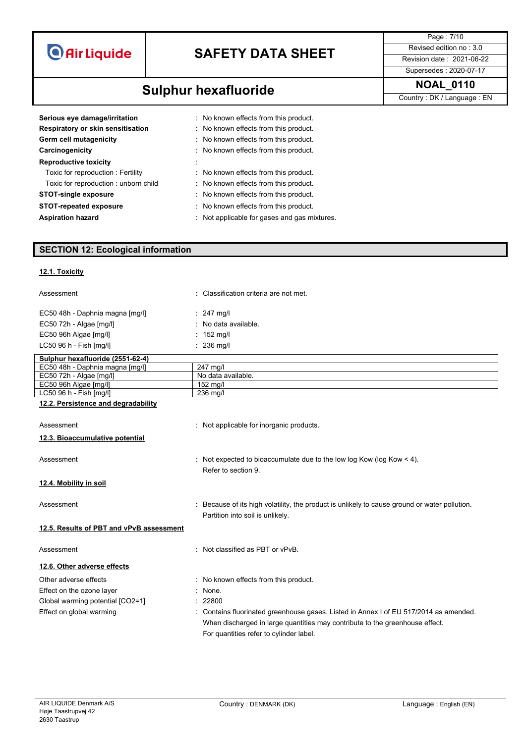| <b>O</b> Air Liquide |  |  |
|----------------------|--|--|
|                      |  |  |

**NOAL\_0110 Sulphur hexafluoride** 

Page : 7/10 Supersedes : 2020-07-17

Country : DK / Language : EN

| : No known effects from this product.      |
|--------------------------------------------|
| : No known effects from this product.      |
| : No known effects from this product.      |
| : No known effects from this product.      |
|                                            |
| : No known effects from this product.      |
| : No known effects from this product.      |
| : No known effects from this product.      |
| : No known effects from this product.      |
| Not applicable for gases and gas mixtures. |
|                                            |

### **SECTION 12: Ecological information**

### **12.1. Toxicity**

| Assessment                               | : Classification criteria are not met.                                                        |
|------------------------------------------|-----------------------------------------------------------------------------------------------|
| EC50 48h - Daphnia magna [mg/l]          | $\therefore$ 247 mg/l                                                                         |
| EC50 72h - Algae [mg/l]                  | : No data available.                                                                          |
| EC50 96h Algae [mg/l]                    | $: 152 \text{ mg/l}$                                                                          |
| LC50 96 h - Fish [mg/l]                  | : 236 mg/l                                                                                    |
| Sulphur hexafluoride (2551-62-4)         |                                                                                               |
| EC50 48h - Daphnia magna [mg/l]          | 247 mg/l                                                                                      |
| EC50 72h - Algae [mg/l]                  | No data available.                                                                            |
| EC50 96h Algae [mg/l]                    | 152 mg/l                                                                                      |
| LC50 96 h - Fish [mg/l]                  | 236 mg/l                                                                                      |
| 12.2. Persistence and degradability      |                                                                                               |
| Assessment                               | : Not applicable for inorganic products.                                                      |
| 12.3. Bioaccumulative potential          |                                                                                               |
|                                          |                                                                                               |
| Assessment                               | : Not expected to bioaccumulate due to the low log Kow (log Kow $<$ 4).                       |
|                                          | Refer to section 9.                                                                           |
| 12.4. Mobility in soil                   |                                                                                               |
|                                          |                                                                                               |
| Assessment                               | : Because of its high volatility, the product is unlikely to cause ground or water pollution. |
|                                          | Partition into soil is unlikely.                                                              |
| 12.5. Results of PBT and vPvB assessment |                                                                                               |
|                                          |                                                                                               |
| Assessment                               | : Not classified as PBT or vPvB.                                                              |
| 12.6. Other adverse effects              |                                                                                               |
| Other adverse effects                    | No known effects from this product.                                                           |
| Effect on the ozone layer                | None.                                                                                         |
| Global warming potential [CO2=1]         | : 22800                                                                                       |
|                                          |                                                                                               |
| Effect on global warming                 | Contains fluorinated greenhouse gases. Listed in Annex I of EU 517/2014 as amended.           |
|                                          | When discharged in large quantities may contribute to the greenhouse effect.                  |
|                                          | For quantities refer to cylinder label.                                                       |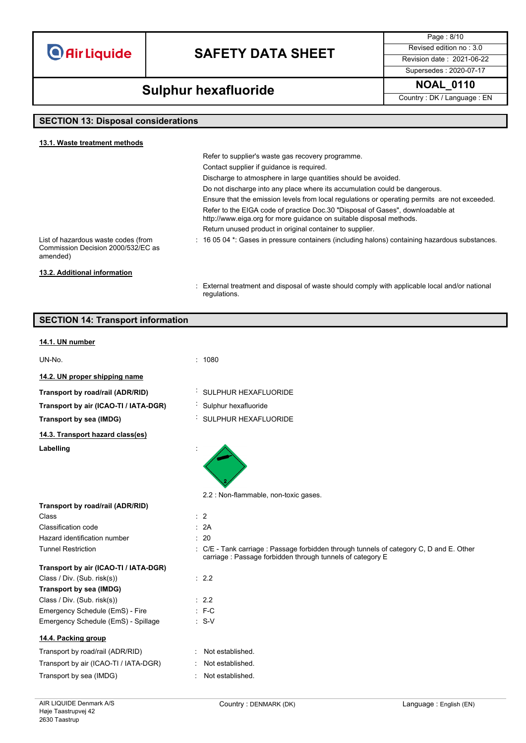**O** Air Liquide

# **SAFETY DATA SHEET** Revised edition no : 3.0

Page : 8/10 Supersedes : 2020-07-17

## **Sulphur hexafluoride** MOAL\_0110

Country : DK / Language : EN

### **SECTION 13: Disposal considerations**

**SECTION 14: Transport information**

| 13.1. Waste treatment methods                                                         |                                                                                                                                                       |
|---------------------------------------------------------------------------------------|-------------------------------------------------------------------------------------------------------------------------------------------------------|
|                                                                                       | Refer to supplier's waste gas recovery programme.                                                                                                     |
|                                                                                       | Contact supplier if quidance is required.                                                                                                             |
|                                                                                       | Discharge to atmosphere in large quantities should be avoided.                                                                                        |
|                                                                                       | Do not discharge into any place where its accumulation could be dangerous.                                                                            |
|                                                                                       | Ensure that the emission levels from local regulations or operating permits are not exceeded.                                                         |
|                                                                                       | Refer to the EIGA code of practice Doc.30 "Disposal of Gases", downloadable at<br>http://www.eiga.org for more guidance on suitable disposal methods. |
|                                                                                       | Return unused product in original container to supplier.                                                                                              |
| List of hazardous waste codes (from<br>Commission Decision 2000/532/EC as<br>amended) | $\pm$ 16 05 04 $^{\star}$ . Gases in pressure containers (including halons) containing hazardous substances.                                          |
| 13.2. Additional information                                                          |                                                                                                                                                       |

: External treatment and disposal of waste should comply with applicable local and/or national regulations.

## **14.1. UN number** UN-No. : 1080 **14.2. UN proper shipping name Transport by road/rail (ADR/RID)** : SULPHUR HEXAFLUORIDE **Transport by air (ICAO-TI / IATA-DGR)** : Sulphur hexafluoride **Transport by sea (IMDG)** : SULPHUR HEXAFLUORIDE **14.3. Transport hazard class(es)** Labelling 2.2 : Non-flammable, non-toxic gases. **Transport by road/rail (ADR/RID)** Class : 2 Classification code : 2A Hazard identification number : 20 Tunnel Restriction **in the C/F** - Tank carriage : Passage forbidden through tunnels of category C, D and E. Other carriage : Passage forbidden through tunnels of category E **Transport by air (ICAO-TI / IATA-DGR)** Class / Div. (Sub. risk(s)) : 2.2 **Transport by sea (IMDG)** Class / Div. (Sub. risk(s)) : 2.2 Emergency Schedule (EmS) - Fire : F-C Emergency Schedule (EmS) - Spillage : S-V

### **14.4. Packing group**

| Transport by road/rail (ADR/RID)      | : Not established. |
|---------------------------------------|--------------------|
| Transport by air (ICAO-TI / IATA-DGR) | : Not established. |
| Transport by sea (IMDG)               | : Not established. |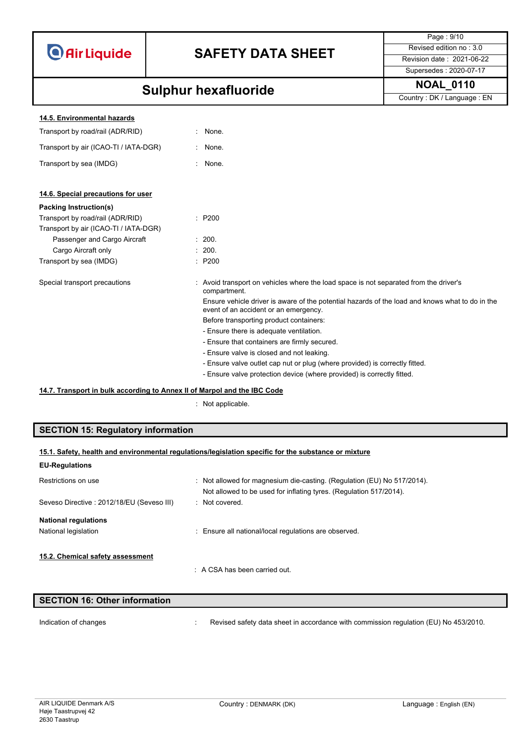|  | <b>O</b> Air Liquide |
|--|----------------------|
|  |                      |

Page : 9/10 Supersedes : 2020-07-17

## **NOAL\_0110 Sulphur hexafluoride**

Country : DK / Language : EN

| 14.5. Environmental hazards |  |
|-----------------------------|--|
|                             |  |

Transport by road/rail (ADR/RID) : None.

Transport by air (ICAO-TI / IATA-DGR) : None.

Transport by sea (IMDG)  $\qquad \qquad$ : None.

### **14.6. Special precautions for user**

| Packing Instruction(s)                |                                                                                                                                          |
|---------------------------------------|------------------------------------------------------------------------------------------------------------------------------------------|
| Transport by road/rail (ADR/RID)      | $\therefore$ P200                                                                                                                        |
| Transport by air (ICAO-TI / IATA-DGR) |                                                                                                                                          |
| Passenger and Cargo Aircraft          | : 200.                                                                                                                                   |
| Cargo Aircraft only                   | : 200.                                                                                                                                   |
| Transport by sea (IMDG)               | : P200                                                                                                                                   |
| Special transport precautions         | : Avoid transport on vehicles where the load space is not separated from the driver's<br>compartment.                                    |
|                                       | Ensure vehicle driver is aware of the potential hazards of the load and knows what to do in the<br>event of an accident or an emergency. |
|                                       | Before transporting product containers:                                                                                                  |
|                                       | - Ensure there is adequate ventilation.                                                                                                  |
|                                       | - Ensure that containers are firmly secured.                                                                                             |
|                                       | - Ensure valve is closed and not leaking.                                                                                                |
|                                       | - Ensure valve outlet cap nut or plug (where provided) is correctly fitted.                                                              |
|                                       | - Ensure valve protection device (where provided) is correctly fitted.                                                                   |
|                                       |                                                                                                                                          |

### **14.7. Transport in bulk according to Annex II of Marpol and the IBC Code**

: Not applicable.

### **SECTION 15: Regulatory information**

## **15.1. Safety, health and environmental regulations/legislation specific for the substance or mixture**

| <b>EU-Regulations</b>                     |                                                                                                                                               |
|-------------------------------------------|-----------------------------------------------------------------------------------------------------------------------------------------------|
| Restrictions on use                       | : Not allowed for magnesium die-casting. (Regulation (EU) No 517/2014).<br>Not allowed to be used for inflating tyres. (Regulation 517/2014). |
| Seveso Directive: 2012/18/EU (Seveso III) | · Not covered                                                                                                                                 |
| <b>National regulations</b>               |                                                                                                                                               |
| National legislation                      | : Ensure all national/local regulations are observed.                                                                                         |
| 15.2. Chemical safety assessment          |                                                                                                                                               |
|                                           | $\therefore$ A CSA has been carried out.                                                                                                      |

| SECTION 16: Other information |                                                                                      |
|-------------------------------|--------------------------------------------------------------------------------------|
|                               |                                                                                      |
| Indication of changes         | Revised safety data sheet in accordance with commission regulation (EU) No 453/2010. |